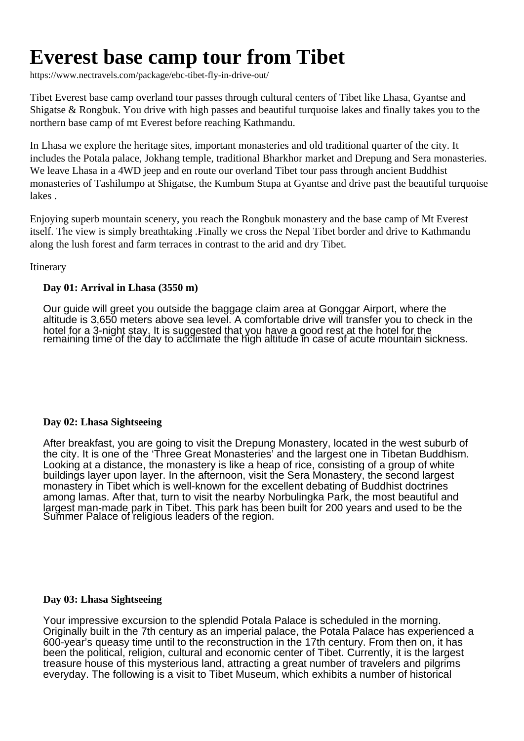# **Everest base camp tour from Tibet**

https://www.nectravels.com/package/ebc-tibet-fly-in-drive-out/

Tibet Everest base camp overland tour passes through cultural centers of Tibet like Lhasa, Gyantse and Shigatse & Rongbuk. You drive with high passes and beautiful turquoise lakes and finally takes you to the northern base camp of mt Everest before reaching Kathmandu.

In Lhasa we explore the heritage sites, important monasteries and old traditional quarter of the city. It includes the Potala palace, Jokhang temple, traditional Bharkhor market and Drepung and Sera monasteries. We leave Lhasa in a 4WD jeep and en route our overland Tibet tour pass through ancient Buddhist monasteries of Tashilumpo at Shigatse, the Kumbum Stupa at Gyantse and drive past the beautiful turquoise lakes .

Enjoying superb mountain scenery, you reach the Rongbuk monastery and the base camp of Mt Everest itself. The view is simply breathtaking .Finally we cross the Nepal Tibet border and drive to Kathmandu along the lush forest and farm terraces in contrast to the arid and dry Tibet.

# Itinerary

# **Day 01: Arrival in Lhasa (3550 m)**

Our guide will greet you outside the baggage claim area at Gonggar Airport, where the altitude is 3,650 meters above sea level. A comfortable drive will transfer you to check in the hotel for a 3-night stay. It is suggested that you have a good rest at the hotel for the remaining time of the day to acclimate the high altitude in case of acute mountain sickness.

## **Day 02: Lhasa Sightseeing**

After breakfast, you are going to visit the Drepung Monastery, located in the west suburb of the city. It is one of the 'Three Great Monasteries' and the largest one in Tibetan Buddhism. Looking at a distance, the monastery is like a heap of rice, consisting of a group of white buildings layer upon layer. In the afternoon, visit the Sera Monastery, the second largest monastery in Tibet which is well-known for the excellent debating of Buddhist doctrines among lamas. After that, turn to visit the nearby Norbulingka Park, the most beautiful and largest man-made park in Tibet. This park has been built for 200 years and used to be the Summer Palace of religious leaders of the region.

## **Day 03: Lhasa Sightseeing**

Your impressive excursion to the splendid Potala Palace is scheduled in the morning. Originally built in the 7th century as an imperial palace, the Potala Palace has experienced a 600-year's queasy time until to the reconstruction in the 17th century. From then on, it has been the political, religion, cultural and economic center of Tibet. Currently, it is the largest treasure house of this mysterious land, attracting a great number of travelers and pilgrims everyday. The following is a visit to Tibet Museum, which exhibits a number of historical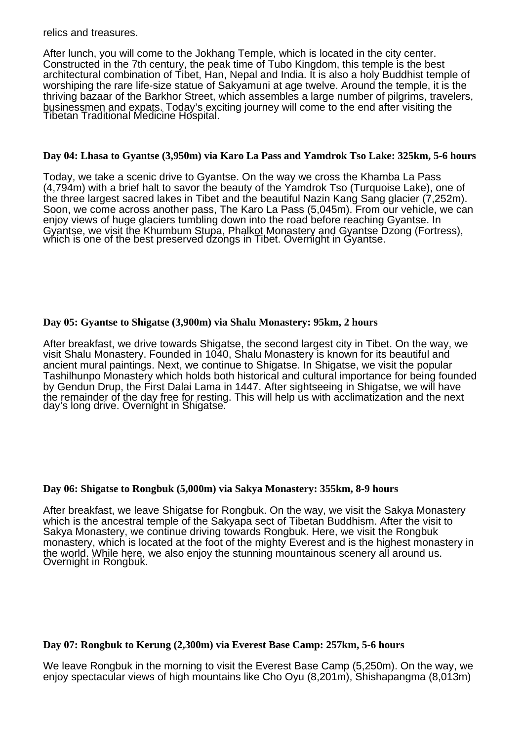relics and treasures.

After lunch, you will come to the Jokhang Temple, which is located in the city center. Constructed in the 7th century, the peak time of Tubo Kingdom, this temple is the best architectural combination of Tibet, Han, Nepal and India. It is also a holy Buddhist temple of worshiping the rare life-size statue of Sakyamuni at age twelve. Around the temple, it is the thriving bazaar of the Barkhor Street, which assembles a large number of pilgrims, travelers, businessmen and expats. Today's exciting journey will come to the end after visiting the Tibetan Traditional Medicine Hospital.

## **Day 04: Lhasa to Gyantse (3,950m) via Karo La Pass and Yamdrok Tso Lake: 325km, 5-6 hours**

Today, we take a scenic drive to Gyantse. On the way we cross the Khamba La Pass (4,794m) with a brief halt to savor the beauty of the Yamdrok Tso (Turquoise Lake), one of the three largest sacred lakes in Tibet and the beautiful Nazin Kang Sang glacier (7,252m). Soon, we come across another pass, The Karo La Pass (5,045m). From our vehicle, we can enjoy views of huge glaciers tumbling down into the road before reaching Gyantse. In Gyantse, we visit the Khumbum Stupa, Phalkot Monastery and Gyantse Dzong (Fortress), which is one of the best preserved dzongs in Tibet. Overnight in Gyantse.

# **Day 05: Gyantse to Shigatse (3,900m) via Shalu Monastery: 95km, 2 hours**

After breakfast, we drive towards Shigatse, the second largest city in Tibet. On the way, we visit Shalu Monastery. Founded in 1040, Shalu Monastery is known for its beautiful and ancient mural paintings. Next, we continue to Shigatse. In Shigatse, we visit the popular Tashilhunpo Monastery which holds both historical and cultural importance for being founded by Gendun Drup, the First Dalai Lama in 1447. After sightseeing in Shigatse, we will have the remainder of the day free for resting. This will help us with acclimatization and the next day's long drive. Overnight in Shigatse.

## **Day 06: Shigatse to Rongbuk (5,000m) via Sakya Monastery: 355km, 8-9 hours**

After breakfast, we leave Shigatse for Rongbuk. On the way, we visit the Sakya Monastery which is the ancestral temple of the Sakyapa sect of Tibetan Buddhism. After the visit to Sakya Monastery, we continue driving towards Rongbuk. Here, we visit the Rongbuk monastery, which is located at the foot of the mighty Everest and is the highest monastery in the world. While here, we also enjoy the stunning mountainous scenery all around us. Overnight in Rongbuk.

## **Day 07: Rongbuk to Kerung (2,300m) via Everest Base Camp: 257km, 5-6 hours**

We leave Rongbuk in the morning to visit the Everest Base Camp (5,250m). On the way, we enjoy spectacular views of high mountains like Cho Oyu (8,201m), Shishapangma (8,013m)